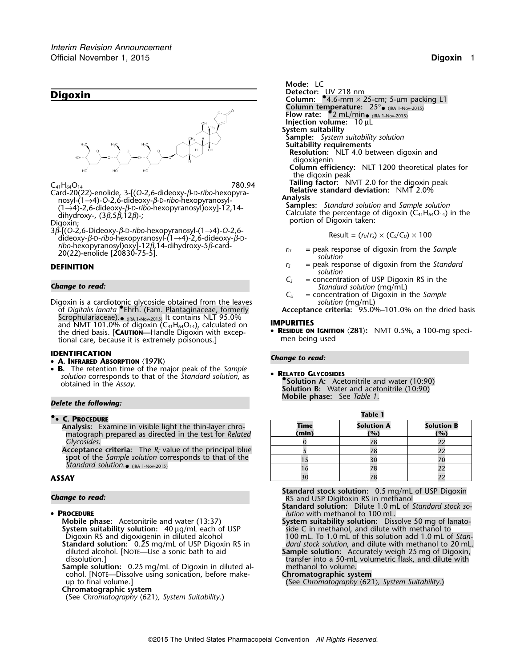

$$
C_{41}H_{64}O_{14}
$$

Card-20(22)-enolide, 3-[(O-2,6-dideoxy-β-D-ribo-hexopyra-<br>**Relative standard deviation:** *Relationsy* β D ribo hexopyranosyl **deviations**  $(1\rightarrow 4)-0-2,6$ -dideoxy- $\beta$ -b-ribo-hexopyranosyl-12,14-<br>
dihydroxy-, (3 $\beta$ ,5 $\beta$ ,12 $\beta$ )-;<br>
Diaoxin:<br>
Diaoxin:<br>
Diaoxin:<br>
Diaoxin:<br>
Diaoxin:

omiyanoxy-, (*5p,5p,12p)-,*<br>Digoxin;<br>3β-[(O-2,6-Dideoxy-β-D-ribo-hexopyranosyl-(1→4)-O-2,6-<br>3β-[(O-2,6-Dideoxy-β-D-ribo-hexopyranosyl-(1→4)-O-2,6-<sup>3</sup>β-[(*O*-2,6-Dideoxy-β-D-*ribo*-hexopyranosyl-(1→4)-*O*-2,6- Result = (*<sup>r</sup>U*/*<sup>r</sup>S*) × (*CS*/*CU*) ×<sup>100</sup> dideoxy-β-D-*ribo*-hexopyranosyl-(1→4)-2,6-dideoxy-β-D*ribo*-hexopyranosyl)oxy]-12*β*,14-dihydroxy-5*β*-card- *ribo-hexopyranosyl)oxy*]-12*β*,14-dihydroxy-5*β*-card- *r<sub>U</sub>* = peak response of digoxin from the *Sample* 20(22)-enolide [20830-75-5].

Digoxin is a cardiotonic glycoside obtained from the leaves *solution* (mg/mL) of *Digitalis lanata* •.Ehrh. (Fam. Plantaginaceae, formerly **Acceptance criteria:** 95.0%–101.0% on the dried basis Scrophulariaceae).<sub>● (IRA 1-Nov-2015)</sub> It contains NLT 95.0%<br>and NMT 101.0% of digoxin (C<sub>41</sub>H<sub>64</sub>O<sub>14</sub>), calculated on **IMPURITIES** tional care, because it is extremely poisonous.]

- **IDENTIFICATION** *Change to read:* **A. INFRARED ABSORPTION** 〈**197K**〉
- • **<sup>B</sup>.** The retention time of the major peak of the *Sample* •**RELATED GLYCOSIDES**<br>solution corresponds to that of the *Standard solution*, as **•**<br>**• RELATED GLYCOSIDES**<br>**• Solution A:** Acetonitrile and water (10:90)<br>btained in the *Assay*.

# **Delete the following:**  $\blacksquare$  **Mobile phase:** See *Table 1*.

## **.**• **C. PROCEDURE**

## •

**Mobile phase:** Acetonitrile and water (13:37) **System suitability solution:** Dissolve 50 mg of lanato-<br>System suitability solution: 40 μg/mL each of USP side C in methanol, and dilute with methanol to **System suitability solution:** 40 µg/mL each of USP Digoxin RS and digoxigenin in diluted alcohol

**Standard solution:** 0.25 mg/mL of USP Digoxin RS in diluted alcohol. [NOTE—Use a sonic bath to aid

**Sample solution:** 0.25 mg/mL of Digoxin in diluted al-<br>cohol. [NOTE—Dissolve using sonication, before make-<br>**Chromatographic system** cohol. [NOTE—Dissolve using sonication, before make-<br>up to final volume.]

**Chromatographic system**

```
(See Chromatography 〈621〉, System Suitability.)
```
*.* **Mode:** LC **Column temperature:** 25°• <sub>(IRA 1-Nov-2015)</sub><br>**Flow rate: •2** mL/min• <sub>(IRA 1-Nov-2015)</sub> **Injection volume:** 10 µL **System suitability Sample:** *System suitability solution* **Suitability requirements Resolution:** NLT 4.0 between digoxin and digoxigenin **Column efficiency:** NLT 1200 theoretical plates for the digoxin peak Tailing factor: NMT 2.0 for the digoxin peak<br>nyra<sub>t</sub> **Relative standard deviation:** NMT 2.0%

$$
Result = (r_U/r_S) \times (C_S/C_U) \times 100
$$

- 
- **DEFINITION** *r<sub>S</sub>* = peak response of digoxin from the *Standard solution*
- **C**<sub>S</sub> = concentration of USP Digoxin RS in the **C**<br>*C<sub>S</sub>* = concentration of USP Digoxin RS in the *Standard solution* (mg/mL)<br>*C<sub>U</sub>* = concentration of Digoxin in the *Sample* 
	- = concentration of Digoxin in the *Sample*<br>*Solution* (mg/mL)

•**RESIDUE ON IGNITION**  $\sqrt{281}$ : NMT 0.5%, a 100-mg speci-<br>tional care, because it is extremely poisonous.

**Solution B:** Water and acetonitrile (10:90)

| <b>• C. PROCEDURE</b>                                                                                                                                                        | Table 1       |                          |                          |
|------------------------------------------------------------------------------------------------------------------------------------------------------------------------------|---------------|--------------------------|--------------------------|
| <b>Analysis:</b> Examine in visible light the thin-layer chro-<br>matograph prepared as directed in the test for Related                                                     | Time<br>(min) | <b>Solution A</b><br>(%) | <b>Solution B</b><br>(%) |
| Glycosides.                                                                                                                                                                  |               |                          |                          |
| <b>Acceptance criteria:</b> The $R_F$ value of the principal blue<br>spot of the Sample solution corresponds to that of the<br>Standard solution. $\bullet$ (IRA 1-Nov-2015) |               |                          |                          |
|                                                                                                                                                                              |               |                          |                          |
|                                                                                                                                                                              |               |                          |                          |
| ASSAY                                                                                                                                                                        |               |                          |                          |

**Standard stock solution:** 0.5 mg/mL of USP Digoxin **Change to read:** RS and USP Digitoxin RS in methanol **Change to read:** RS and USP Digitoxin RS in methanol

**Standard solution:** Dilute 1.0 mL of *Standard stock so-* **PROCEDURE** *PROCEDURE lution* with methanol to 100 mL.

100 mL. To 1.0 mL of this solution add 1.0 mL of *Stan-dard stock solution*, and dilute with methanol to 20 mL. diluted alcohol. [NOTE—Use a sonic bath to aid **Sample solution:** Accurately weigh 25 mg of Digoxin, dissolution.] transfer into a 50-mL volumetric flask, and dilute with

(See Chromatography  $(621)$ , System Suitability.)